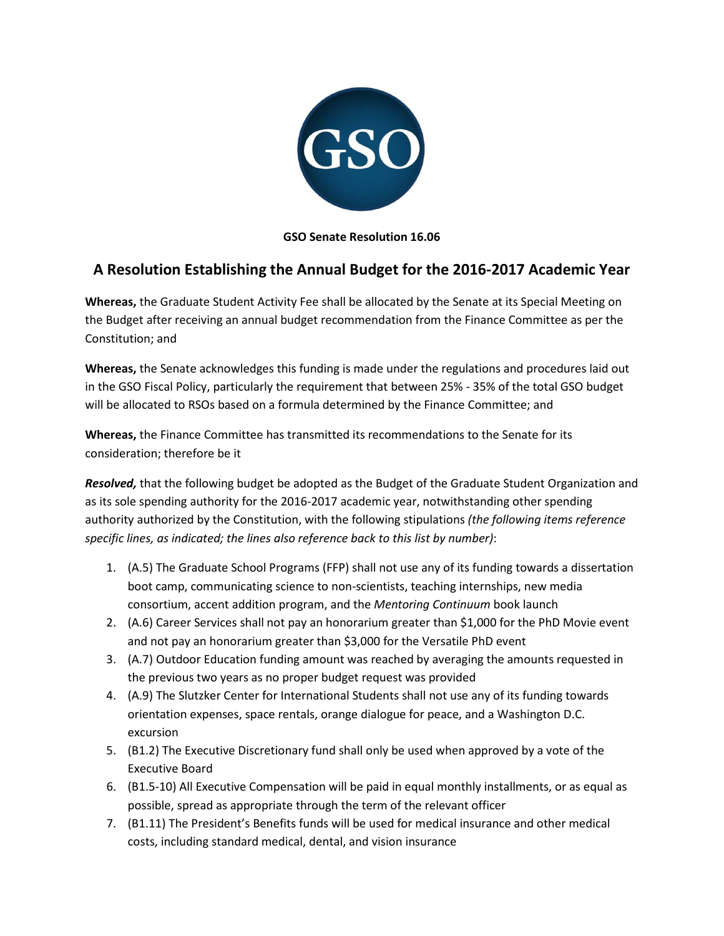

## **GSO Senate Resolution 16.06**

## **A Resolution Establishing the Annual Budget for the 2016-2017 Academic Year**

**Whereas,** the Graduate Student Activity Fee shall be allocated by the Senate at its Special Meeting on the Budget after receiving an annual budget recommendation from the Finance Committee as per the Constitution; and

**Whereas,** the Senate acknowledges this funding is made under the regulations and procedures laid out in the GSO Fiscal Policy, particularly the requirement that between 25% - 35% of the total GSO budget will be allocated to RSOs based on a formula determined by the Finance Committee; and

**Whereas,** the Finance Committee has transmitted its recommendations to the Senate for its consideration; therefore be it

*Resolved,* that the following budget be adopted as the Budget of the Graduate Student Organization and as its sole spending authority for the 2016-2017 academic year, notwithstanding other spending authority authorized by the Constitution, with the following stipulations *(the following items reference specific lines, as indicated; the lines also reference back to this list by number)*:

- 1. (A.5) The Graduate School Programs (FFP) shall not use any of its funding towards a dissertation boot camp, communicating science to non-scientists, teaching internships, new media consortium, accent addition program, and the *Mentoring Continuum* book launch
- 2. (A.6) Career Services shall not pay an honorarium greater than \$1,000 for the PhD Movie event and not pay an honorarium greater than \$3,000 for the Versatile PhD event
- 3. (A.7) Outdoor Education funding amount was reached by averaging the amounts requested in the previous two years as no proper budget request was provided
- 4. (A.9) The Slutzker Center for International Students shall not use any of its funding towards orientation expenses, space rentals, orange dialogue for peace, and a Washington D.C. excursion
- 5. (B1.2) The Executive Discretionary fund shall only be used when approved by a vote of the Executive Board
- 6. (B1.5-10) All Executive Compensation will be paid in equal monthly installments, or as equal as possible, spread as appropriate through the term of the relevant officer
- 7. (B1.11) The President's Benefits funds will be used for medical insurance and other medical costs, including standard medical, dental, and vision insurance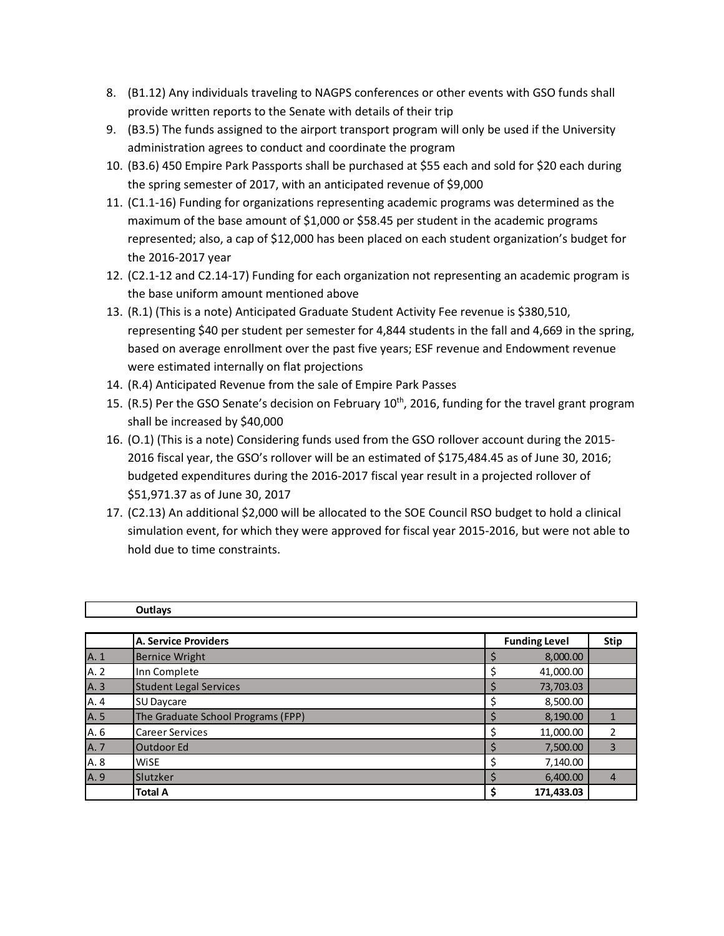- 8. (B1.12) Any individuals traveling to NAGPS conferences or other events with GSO funds shall provide written reports to the Senate with details of their trip
- 9. (B3.5) The funds assigned to the airport transport program will only be used if the University administration agrees to conduct and coordinate the program
- 10. (B3.6) 450 Empire Park Passports shall be purchased at \$55 each and sold for \$20 each during the spring semester of 2017, with an anticipated revenue of \$9,000
- 11. (C1.1-16) Funding for organizations representing academic programs was determined as the maximum of the base amount of \$1,000 or \$58.45 per student in the academic programs represented; also, a cap of \$12,000 has been placed on each student organization's budget for the 2016-2017 year
- 12. (C2.1-12 and C2.14-17) Funding for each organization not representing an academic program is the base uniform amount mentioned above
- 13. (R.1) (This is a note) Anticipated Graduate Student Activity Fee revenue is \$380,510, representing \$40 per student per semester for 4,844 students in the fall and 4,669 in the spring, based on average enrollment over the past five years; ESF revenue and Endowment revenue were estimated internally on flat projections
- 14. (R.4) Anticipated Revenue from the sale of Empire Park Passes
- 15. (R.5) Per the GSO Senate's decision on February  $10<sup>th</sup>$ , 2016, funding for the travel grant program shall be increased by \$40,000
- 16. (O.1) (This is a note) Considering funds used from the GSO rollover account during the 2015- 2016 fiscal year, the GSO's rollover will be an estimated of \$175,484.45 as of June 30, 2016; budgeted expenditures during the 2016-2017 fiscal year result in a projected rollover of \$51,971.37 as of June 30, 2017
- 17. (C2.13) An additional \$2,000 will be allocated to the SOE Council RSO budget to hold a clinical simulation event, for which they were approved for fiscal year 2015-2016, but were not able to hold due to time constraints.

|      | Outlays                            |                      |                |
|------|------------------------------------|----------------------|----------------|
|      |                                    |                      |                |
|      | <b>A. Service Providers</b>        | <b>Funding Level</b> | Stip           |
| A. 1 | <b>Bernice Wright</b>              | 8,000.00             |                |
| A. 2 | Inn Complete                       | 41,000.00            |                |
| A. 3 | <b>Student Legal Services</b>      | 73,703.03            |                |
| A. 4 | <b>SU Daycare</b>                  | 8,500.00             |                |
| A. 5 | The Graduate School Programs (FPP) | 8,190.00             |                |
| A. 6 | <b>Career Services</b>             | 11,000.00            | 2              |
| A. 7 | Outdoor Ed                         | 7,500.00             | 3              |
| A. 8 | <b>WiSE</b>                        | 7,140.00             |                |
| A. 9 | Slutzker                           | 6,400.00             | $\overline{4}$ |
|      | <b>Total A</b>                     | 171,433.03           |                |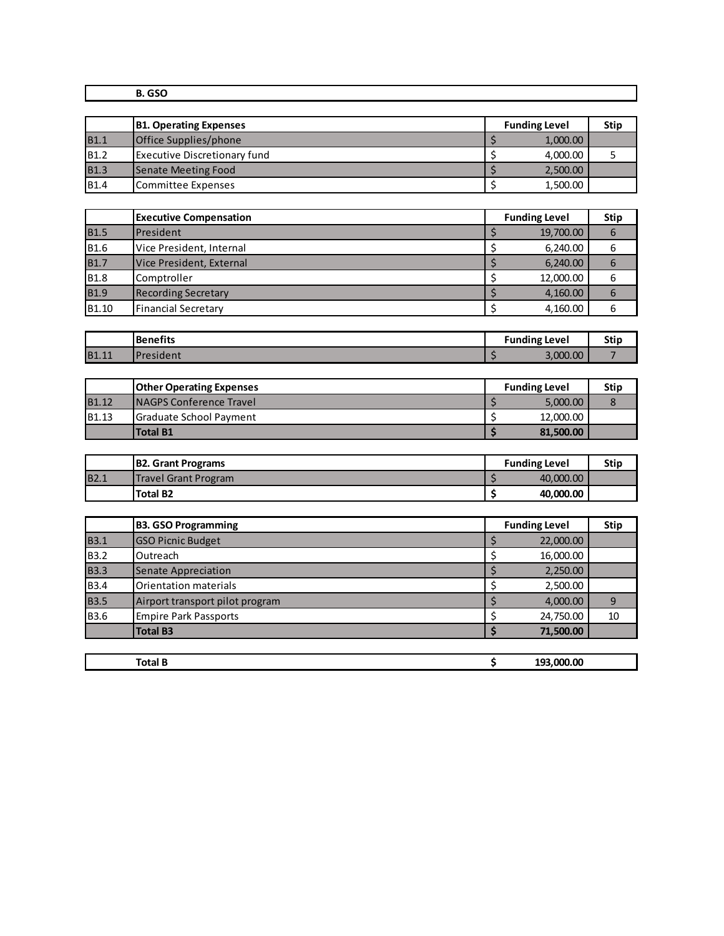| $R_{C}$<br>v. |  |
|---------------|--|
|               |  |

|             | <b>B1. Operating Expenses</b> | <b>Funding Level</b> | <b>Stip</b> |
|-------------|-------------------------------|----------------------|-------------|
| <b>B1.1</b> | Office Supplies/phone         | 1,000.00             |             |
| <b>B1.2</b> | Executive Discretionary fund  | 4,000.00             |             |
| <b>B1.3</b> | Senate Meeting Food           | 2,500.00             |             |
| <b>B1.4</b> | Committee Expenses            | 1,500.00             |             |

|                   | <b>Executive Compensation</b> | <b>Funding Level</b> | <b>Stip</b> |
|-------------------|-------------------------------|----------------------|-------------|
| <b>B1.5</b>       | <b>IPresident</b>             | 19,700.00            | 6           |
| <b>B1.6</b>       | Vice President, Internal      | 6,240.00             | 6           |
| <b>B1.7</b>       | Vice President, External      | 6,240.00             | 6           |
| <b>B1.8</b>       | Comptroller                   | 12,000.00            | 6           |
| <b>B1.9</b>       | <b>Recording Secretary</b>    | 4,160.00             | 6           |
| B <sub>1.10</sub> | Financial Secretary           | 4,160.00             | 6           |

|              | Benefits   | <b>Funding Level</b> | .<br>วแเ |
|--------------|------------|----------------------|----------|
| <b>B1.11</b> | 'President | 3,000.00             |          |

|                   | <b>Other Operating Expenses</b> |  | <b>Funding Level</b> | <b>Stip</b> |
|-------------------|---------------------------------|--|----------------------|-------------|
| <b>B1.12</b>      | <b>INAGPS Conference Travel</b> |  | 5,000.00             |             |
| B <sub>1.13</sub> | Graduate School Payment         |  | 12,000.00            |             |
|                   | Total B1                        |  | 81,500.00            |             |

|             | <b>B2. Grant Programs</b>   | <b>Funding Level</b> | Stip |
|-------------|-----------------------------|----------------------|------|
| <b>B2.1</b> | <b>Travel Grant Program</b> | 40,000,00            |      |
|             | <b>Total B2</b>             | 40,000,00            |      |

|             | <b>B3. GSO Programming</b>      | <b>Funding Level</b> | <b>Stip</b> |
|-------------|---------------------------------|----------------------|-------------|
| <b>B3.1</b> | <b>GSO Picnic Budget</b>        | 22,000.00            |             |
| <b>B3.2</b> | Outreach                        | 16,000.00            |             |
| <b>B3.3</b> | Senate Appreciation             | 2,250.00             |             |
| <b>B3.4</b> | Orientation materials           | 2,500.00             |             |
| <b>B3.5</b> | Airport transport pilot program | 4,000.00             | 9           |
| <b>B3.6</b> | <b>Empire Park Passports</b>    | 24,750.00            | 10          |
|             | <b>Total B3</b>                 | 71,500.00            |             |
|             |                                 |                      |             |
|             | <b>Total B</b>                  | 193,000.00           |             |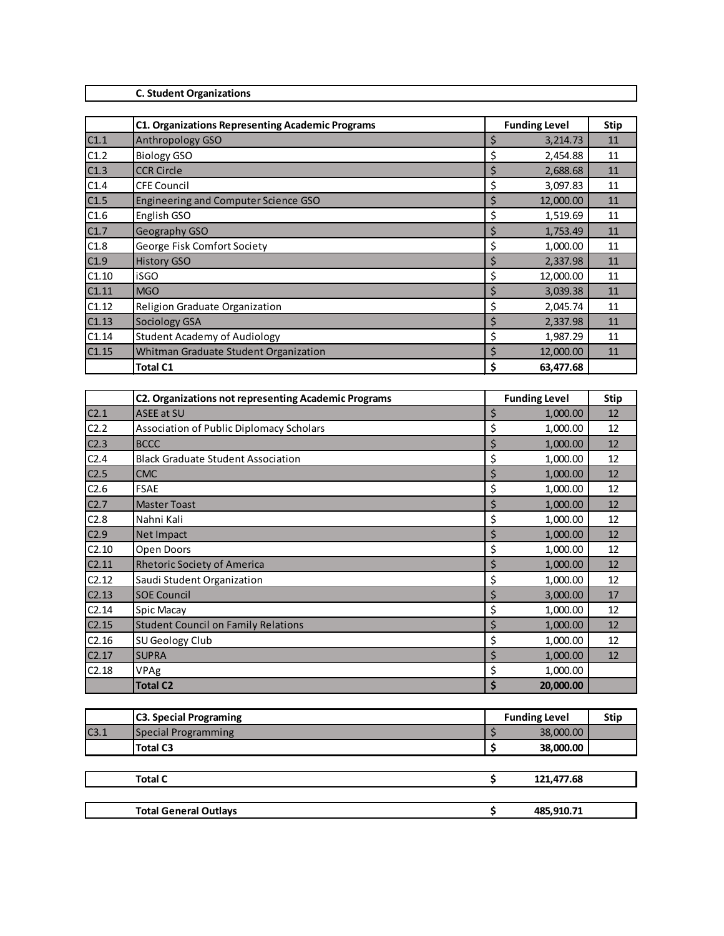## **C. Student Organizations**

|       | <b>C1. Organizations Representing Academic Programs</b> | <b>Funding Level</b> | <b>Stip</b> |
|-------|---------------------------------------------------------|----------------------|-------------|
| C1.1  | Anthropology GSO                                        | \$<br>3,214.73       | 11          |
| C1.2  | <b>Biology GSO</b>                                      | \$<br>2,454.88       | 11          |
| C1.3  | <b>CCR Circle</b>                                       | \$<br>2,688.68       | 11          |
| C1.4  | <b>CFE Council</b>                                      | \$<br>3,097.83       | 11          |
| C1.5  | Engineering and Computer Science GSO                    | \$<br>12,000.00      | 11          |
| C1.6  | English GSO                                             | \$<br>1,519.69       | 11          |
| C1.7  | Geography GSO                                           | \$<br>1,753.49       | 11          |
| C1.8  | George Fisk Comfort Society                             | \$<br>1,000.00       | 11          |
| C1.9  | <b>History GSO</b>                                      | \$<br>2,337.98       | 11          |
| C1.10 | <b>iSGO</b>                                             | \$<br>12,000.00      | 11          |
| C1.11 | <b>MGO</b>                                              | \$<br>3,039.38       | 11          |
| C1.12 | Religion Graduate Organization                          | \$<br>2,045.74       | 11          |
| C1.13 | Sociology GSA                                           | \$<br>2,337.98       | 11          |
| C1.14 | <b>Student Academy of Audiology</b>                     | \$<br>1,987.29       | 11          |
| C1.15 | Whitman Graduate Student Organization                   | \$<br>12,000.00      | 11          |
|       | <b>Total C1</b>                                         | \$<br>63,477.68      |             |

|                  | <b>C2. Organizations not representing Academic Programs</b> | <b>Funding Level</b> | <b>Stip</b> |
|------------------|-------------------------------------------------------------|----------------------|-------------|
| C <sub>2.1</sub> | <b>ASEE at SU</b>                                           | \$<br>1,000.00       | 12          |
| C2.2             | Association of Public Diplomacy Scholars                    | \$<br>1,000.00       | 12          |
| C2.3             | <b>BCCC</b>                                                 | \$<br>1,000.00       | 12          |
| C <sub>2.4</sub> | <b>Black Graduate Student Association</b>                   | \$<br>1,000.00       | 12          |
| C2.5             | <b>CMC</b>                                                  | \$<br>1,000.00       | 12          |
| C2.6             | <b>FSAE</b>                                                 | \$<br>1,000.00       | 12          |
| C2.7             | <b>Master Toast</b>                                         | \$<br>1,000.00       | 12          |
| C2.8             | Nahni Kali                                                  | \$<br>1,000.00       | 12          |
| C2.9             | <b>Net Impact</b>                                           | \$<br>1,000.00       | 12          |
| C2.10            | Open Doors                                                  | \$<br>1,000.00       | 12          |
| C2.11            | <b>Rhetoric Society of America</b>                          | \$<br>1,000.00       | 12          |
| C2.12            | Saudi Student Organization                                  | \$<br>1,000.00       | 12          |
| C2.13            | <b>SOE Council</b>                                          | \$<br>3,000.00       | 17          |
| C2.14            | <b>Spic Macay</b>                                           | \$<br>1,000.00       | 12          |
| C2.15            | <b>Student Council on Family Relations</b>                  | \$<br>1,000.00       | 12          |
| C2.16            | SU Geology Club                                             | \$<br>1,000.00       | 12          |
| C2.17            | <b>SUPRA</b>                                                | \$<br>1,000.00       | 12          |
| C2.18            | VPAg                                                        | \$<br>1,000.00       |             |
|                  | <b>Total C2</b>                                             | \$<br>20,000.00      |             |

|      | <b>C3. Special Programing</b> | <b>Funding Level</b> | <b>Stip</b> |
|------|-------------------------------|----------------------|-------------|
| C3.1 | Special Programming           | 38,000.00            |             |
|      | <b>Total C3</b>               | 38,000.00            |             |
|      |                               |                      |             |
|      | <b>Total C</b>                | 121,477.68           |             |
|      |                               |                      |             |
|      | <b>Total General Outlays</b>  | 485,910.71           |             |